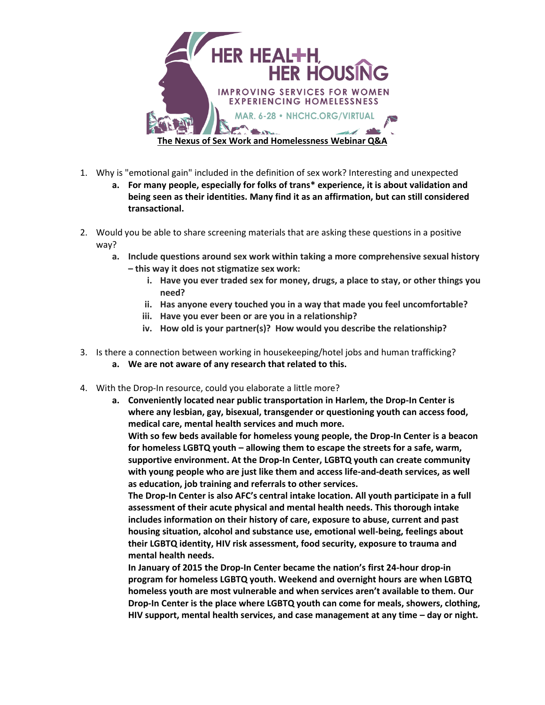

- 1. Why is "emotional gain" included in the definition of sex work? Interesting and unexpected
	- **a. For many people, especially for folks of trans\* experience, it is about validation and being seen as their identities. Many find it as an affirmation, but can still considered transactional.**
- 2. Would you be able to share screening materials that are asking these questions in a positive way?
	- **a. Include questions around sex work within taking a more comprehensive sexual history – this way it does not stigmatize sex work:**
		- **i. Have you ever traded sex for money, drugs, a place to stay, or other things you need?**
		- **ii. Has anyone every touched you in a way that made you feel uncomfortable?**
		- **iii. Have you ever been or are you in a relationship?**
		- **iv. How old is your partner(s)? How would you describe the relationship?**
- 3. Is there a connection between working in housekeeping/hotel jobs and human trafficking? **a. We are not aware of any research that related to this.**
- 4. With the Drop-In resource, could you elaborate a little more?
	- **a. Conveniently located near public transportation in Harlem, the Drop-In Center is where any lesbian, gay, bisexual, transgender or questioning youth can access food, medical care, mental health services and much more.**

**With so few beds available for homeless young people, the Drop-In Center is a beacon for homeless LGBTQ youth – allowing them to escape the streets for a safe, warm, supportive environment. At the Drop-In Center, LGBTQ youth can create community with young people who are just like them and access life-and-death services, as well as education, job training and referrals to other services.**

**The Drop-In Center is also AFC's central intake location. All youth participate in a full assessment of their acute physical and mental health needs. This thorough intake includes information on their history of care, exposure to abuse, current and past housing situation, alcohol and substance use, emotional well-being, feelings about their LGBTQ identity, HIV risk assessment, food security, exposure to trauma and mental health needs.**

**In January of 2015 the Drop-In Center became the nation's first 24-hour drop-in program for homeless LGBTQ youth. Weekend and overnight hours are when LGBTQ homeless youth are most vulnerable and when services aren't available to them. Our Drop-In Center is the place where LGBTQ youth can come for meals, showers, clothing, HIV support, mental health services, and case management at any time – day or night.**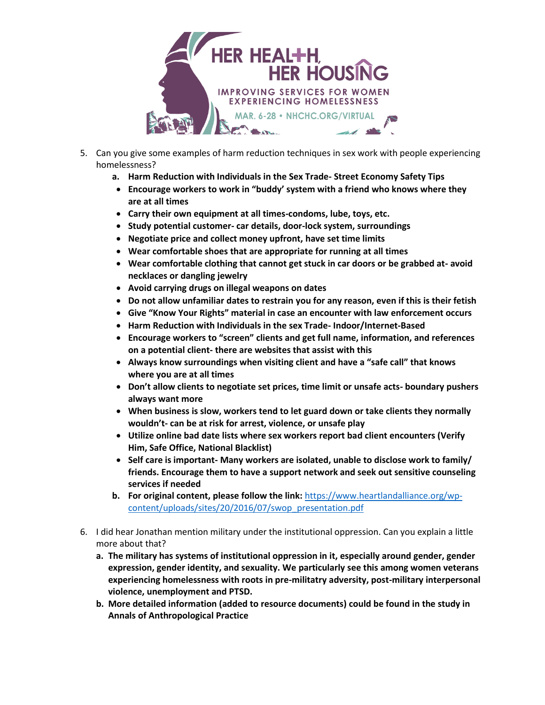

- 5. Can you give some examples of harm reduction techniques in sex work with people experiencing homelessness?
	- **a. Harm Reduction with Individuals in the Sex Trade- Street Economy Safety Tips**
	- **Encourage workers to work in "buddy' system with a friend who knows where they are at all times**
	- **Carry their own equipment at all times-condoms, lube, toys, etc.**
	- **Study potential customer- car details, door-lock system, surroundings**
	- **Negotiate price and collect money upfront, have set time limits**
	- **Wear comfortable shoes that are appropriate for running at all times**
	- **Wear comfortable clothing that cannot get stuck in car doors or be grabbed at- avoid necklaces or dangling jewelry**
	- **Avoid carrying drugs on illegal weapons on dates**
	- **Do not allow unfamiliar dates to restrain you for any reason, even if this is their fetish**
	- **Give "Know Your Rights" material in case an encounter with law enforcement occurs**
	- **Harm Reduction with Individuals in the sex Trade- Indoor/Internet-Based**
	- **Encourage workers to "screen" clients and get full name, information, and references on a potential client- there are websites that assist with this**
	- **Always know surroundings when visiting client and have a "safe call" that knows where you are at all times**
	- **Don't allow clients to negotiate set prices, time limit or unsafe acts- boundary pushers always want more**
	- **When business is slow, workers tend to let guard down or take clients they normally wouldn't- can be at risk for arrest, violence, or unsafe play**
	- **Utilize online bad date lists where sex workers report bad client encounters (Verify Him, Safe Office, National Blacklist)**
	- **Self care is important- Many workers are isolated, unable to disclose work to family/ friends. Encourage them to have a support network and seek out sensitive counseling services if needed**
	- **b. For original content, please follow the link:** [https://www.heartlandalliance.org/wp](https://www.heartlandalliance.org/wp-content/uploads/sites/20/2016/07/swop_presentation.pdf)[content/uploads/sites/20/2016/07/swop\\_presentation.pdf](https://www.heartlandalliance.org/wp-content/uploads/sites/20/2016/07/swop_presentation.pdf)
- 6. I did hear Jonathan mention military under the institutional oppression. Can you explain a little more about that?
	- **a. The military has systems of institutional oppression in it, especially around gender, gender expression, gender identity, and sexuality. We particularly see this among women veterans experiencing homelessness with roots in pre-militatry adversity, post-military interpersonal violence, unemployment and PTSD.**
	- **b. More detailed information (added to resource documents) could be found in the study in Annals of Anthropological Practice**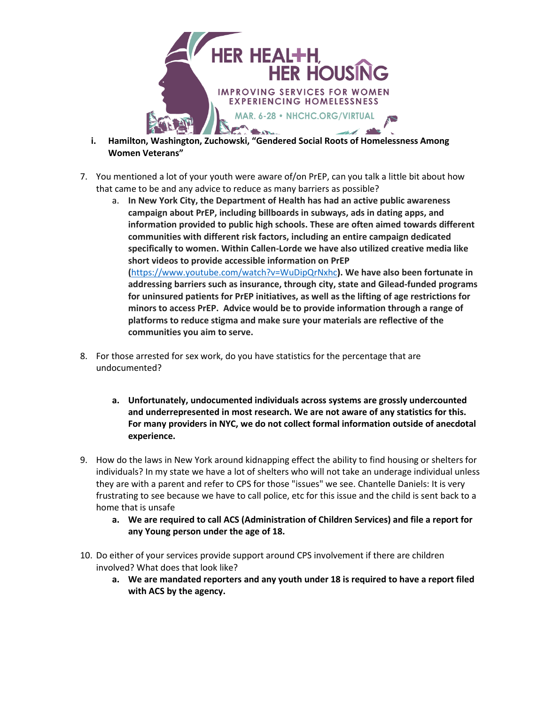

- **i. Hamilton, Washington, Zuchowski, "Gendered Social Roots of Homelessness Among Women Veterans"**
- 7. You mentioned a lot of your youth were aware of/on PrEP, can you talk a little bit about how that came to be and any advice to reduce as many barriers as possible?
	- a. **In New York City, the Department of Health has had an active public awareness campaign about PrEP, including billboards in subways, ads in dating apps, and information provided to public high schools. These are often aimed towards different communities with different risk factors, including an entire campaign dedicated specifically to women. Within Callen-Lorde we have also utilized creative media like short videos to provide accessible information on PrEP (**<https://www.youtube.com/watch?v=WuDipQrNxhc>**). We have also been fortunate in**

**addressing barriers such as insurance, through city, state and Gilead-funded programs for uninsured patients for PrEP initiatives, as well as the lifting of age restrictions for minors to access PrEP. Advice would be to provide information through a range of platforms to reduce stigma and make sure your materials are reflective of the communities you aim to serve.**

- 8. For those arrested for sex work, do you have statistics for the percentage that are undocumented?
	- **a. Unfortunately, undocumented individuals across systems are grossly undercounted and underrepresented in most research. We are not aware of any statistics for this. For many providers in NYC, we do not collect formal information outside of anecdotal experience.**
- 9. How do the laws in New York around kidnapping effect the ability to find housing or shelters for individuals? In my state we have a lot of shelters who will not take an underage individual unless they are with a parent and refer to CPS for those "issues" we see. Chantelle Daniels: It is very frustrating to see because we have to call police, etc for this issue and the child is sent back to a home that is unsafe
	- **a. We are required to call ACS (Administration of Children Services) and file a report for any Young person under the age of 18.**
- 10. Do either of your services provide support around CPS involvement if there are children involved? What does that look like?
	- **a. We are mandated reporters and any youth under 18 is required to have a report filed with ACS by the agency.**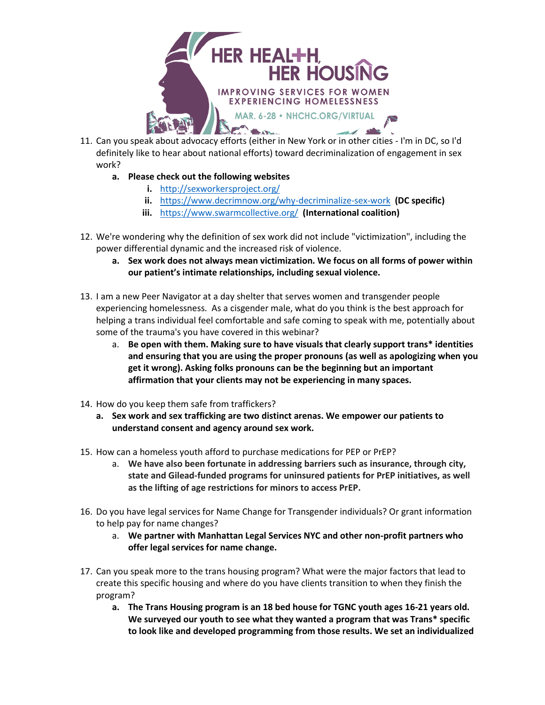

- 11. Can you speak about advocacy efforts (either in New York or in other cities I'm in DC, so I'd definitely like to hear about national efforts) toward decriminalization of engagement in sex work?
	- **a. Please check out the following websites**
		- **i.** <http://sexworkersproject.org/>
		- **ii.** <https://www.decrimnow.org/why-decriminalize-sex-work> **(DC specific)**
		- **iii.** <https://www.swarmcollective.org/> **(International coalition)**
- 12. We're wondering why the definition of sex work did not include "victimization", including the power differential dynamic and the increased risk of violence.
	- **a. Sex work does not always mean victimization. We focus on all forms of power within our patient's intimate relationships, including sexual violence.**
- 13. I am a new Peer Navigator at a day shelter that serves women and transgender people experiencing homelessness. As a cisgender male, what do you think is the best approach for helping a trans individual feel comfortable and safe coming to speak with me, potentially about some of the trauma's you have covered in this webinar?
	- a. **Be open with them. Making sure to have visuals that clearly support trans\* identities and ensuring that you are using the proper pronouns (as well as apologizing when you get it wrong). Asking folks pronouns can be the beginning but an important affirmation that your clients may not be experiencing in many spaces.**
- 14. How do you keep them safe from traffickers?
	- **a. Sex work and sex trafficking are two distinct arenas. We empower our patients to understand consent and agency around sex work.**
- 15. How can a homeless youth afford to purchase medications for PEP or PrEP?
	- a. **We have also been fortunate in addressing barriers such as insurance, through city, state and Gilead-funded programs for uninsured patients for PrEP initiatives, as well as the lifting of age restrictions for minors to access PrEP.**
- 16. Do you have legal services for Name Change for Transgender individuals? Or grant information to help pay for name changes?
	- a. **We partner with Manhattan Legal Services NYC and other non-profit partners who offer legal services for name change.**
- 17. Can you speak more to the trans housing program? What were the major factors that lead to create this specific housing and where do you have clients transition to when they finish the program?
	- **a. The Trans Housing program is an 18 bed house for TGNC youth ages 16-21 years old. We surveyed our youth to see what they wanted a program that was Trans\* specific to look like and developed programming from those results. We set an individualized**